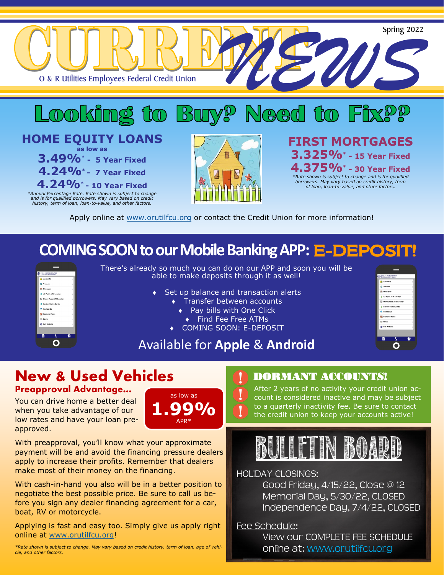

Apply online at [www.orutilfcu.org](http://www.orutilfcu.org/) or contact the Credit Union for more information!

## **COMING SOON to our Mobile Banking APP: E-DEPOSIT!**



There's already so much you can do on our APP and soon you will be able to make deposits through it as well!

- Set up balance and transaction alerts
	- Transfer between accounts
		- ◆ Pay bills with One Click
		- ◆ Find Fee Free ATMs
	- COMING SOON: E-DEPOSIT



### Available for **Apple** & **Android**

## **New & Used Vehicles**

### **Preapproval Advantage…**

You can drive home a better deal when you take advantage of our low rates and have your loan preapproved.



With preapproval, you'll know what your approximate payment will be and avoid the financing pressure dealers apply to increase their profits. Remember that dealers make most of their money on the financing.

With cash-in-hand you also will be in a better position to negotiate the best possible price. Be sure to call us before you sign any dealer financing agreement for a car, boat, RV or motorcycle.

Applying is fast and easy too. Simply give us apply right online at [www.orutilfcu.org!](http://www.orutilfcu.org)

*\*Rate shown is subject to change. May vary based on credit history, term of loan, age of vehicle, and other factors.* 

### DORMANT ACCOUNTS!

After 2 years of no activity your credit union account is considered inactive and may be subject to a quarterly inactivity fee. Be sure to contact the credit union to keep your accounts active!

## BULLET<br>BULLET<br>BULLETIN BOARD

### HOLIDAY CLOSINGS:

Good Friday, 4/15/22, Close @ 12 Memorial Day, 5/30/22, CLOSED Independence Day, 7/4/22, CLOSED

Fee Schedule:

View our COMPLETE FEE SCHEDULE online at: www.orutilfcu.org